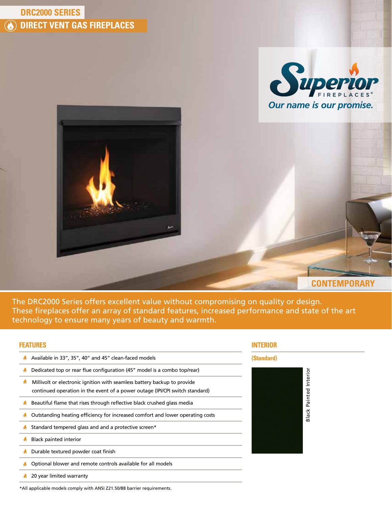# **DRC2000 SERIES DIRECT VENT GAS FIREPLACES (A)**





**CONTEMPORARY**

The DRC2000 Series offers excellent value without compromising on quality or design. These fireplaces offer an array of standard features, increased performance and state of the art technology to ensure many years of beauty and warmth.

## **FEATURES**

- A Available in 33", 35", 40" and 45" clean-faced models
- Dedicated top or rear flue configuration (45" model is a combo top/rear)  $\blacklozenge$
- $\clubsuit$ Millivolt or electronic ignition with seamless battery backup to provide continued operation in the event of a power outage (IPI/CPI switch standard)
- $\bigwedge$  Beautiful flame that rises through reflective black crushed glass media
- Outstanding heating efficiency for increased comfort and lower operating costs
- Standard tempered glass and and a protective screen\*
- **Black painted interior**
- Durable textured powder coat finish
- **A** Optional blower and remote controls available for all models
- 1 20 year limited warranty



## **(Standard)**